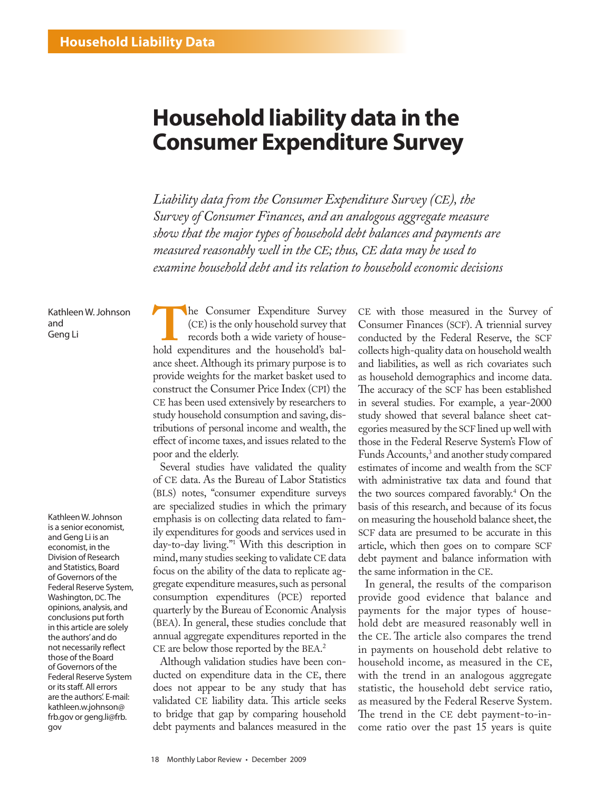# **Household liability data in the Consumer Expenditure Survey**

*Liability data from the Consumer Expenditure Survey (CE), the Survey of Consumer Finances, and an analogous aggregate measure show that the major types of household debt balances and payments are measured reasonably well in the CE; thus, CE data may be used to examine household debt and its relation to household economic decisions*

KathleenW.Johnson and

KathleenW.Johnson is a senior economist, and Geng Li is an economist, in the Division of Research and Statistics, Board of Governors of the Federal Reserve System, Washington, DC. The opinions, analysis, and conclusions put forth in this article are solely the authors'and do not necessarily reflect those of the Board of Governors of the Federal Reserve System or its staff. All errors are the authors'. E-mail: kathleen.w.johnson@ frb.gov or geng.li@frb. gov

Kathleen W. Johnson<br>
and<br>
Geng Li **The Consumer Expenditure Survey** that<br>
records both a wide variety of house-<br>
hold expenditures and the household's bal-(CE) is the only household survey that records both a wide variety of houseance sheet. Although its primary purpose is to provide weights for the market basket used to construct the Consumer Price Index (CPI) the CE has been used extensively by researchers to study household consumption and saving, distributions of personal income and wealth, the effect of income taxes, and issues related to the poor and the elderly.

> Several studies have validated the quality of CE data. As the Bureau of Labor Statistics (BLS) notes, "consumer expenditure surveys are specialized studies in which the primary emphasis is on collecting data related to family expenditures for goods and services used in day-to-day living."1 With this description in mind, many studies seeking to validate CE data focus on the ability of the data to replicate aggregate expenditure measures, such as personal consumption expenditures (PCE) reported quarterly by the Bureau of Economic Analysis (BEA). In general, these studies conclude that annual aggregate expenditures reported in the CE are below those reported by the BEA. 2

> Although validation studies have been conducted on expenditure data in the CE, there does not appear to be any study that has validated CE liability data. This article seeks to bridge that gap by comparing household debt payments and balances measured in the

CE with those measured in the Survey of Consumer Finances (SCF). A triennial survey conducted by the Federal Reserve, the SCF collects high-quality data on household wealth and liabilities, as well as rich covariates such as household demographics and income data. The accuracy of the SCF has been established in several studies. For example, a year-2000 study showed that several balance sheet categories measured by the SCF lined up well with those in the Federal Reserve System's Flow of Funds Accounts,<sup>3</sup> and another study compared estimates of income and wealth from the SCF with administrative tax data and found that the two sources compared favorably.4 On the basis of this research, and because of its focus on measuring the household balance sheet, the SCF data are presumed to be accurate in this article, which then goes on to compare SCF debt payment and balance information with the same information in the CE.

In general, the results of the comparison provide good evidence that balance and payments for the major types of household debt are measured reasonably well in the CE. The article also compares the trend in payments on household debt relative to household income, as measured in the CE, with the trend in an analogous aggregate statistic, the household debt service ratio, as measured by the Federal Reserve System. The trend in the CE debt payment-to-income ratio over the past 15 years is quite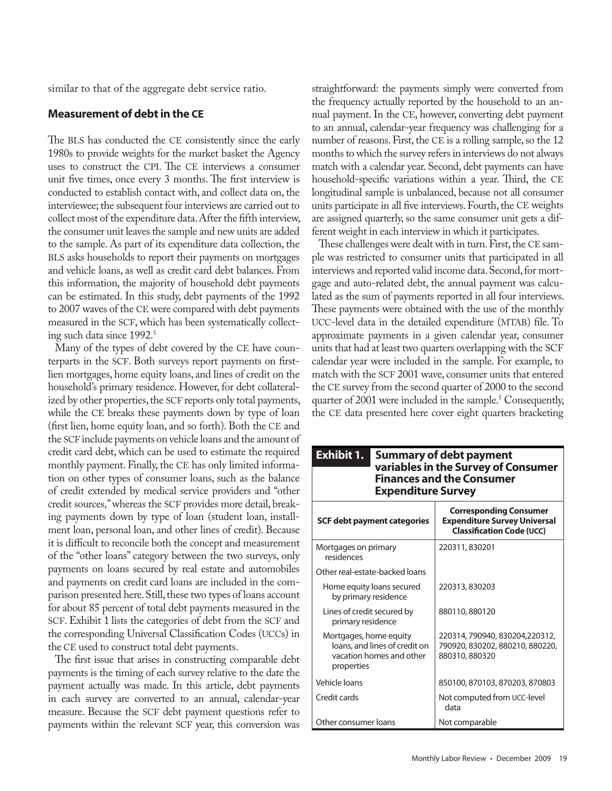similar to that of the aggregate debt service ratio.

### **Measurement of debt in the CE**

The BLS has conducted the CE consistently since the early 1980s to provide weights for the market basket the Agency uses to construct the CPI. The CE interviews a consumer unit five times, once every 3 months. The first interview is conducted to establish contact with, and collect data on, the interviewee; the subsequent four interviews are carried out to collect most of the expenditure data. After the fifth interview, the consumer unit leaves the sample and new units are added to the sample. As part of its expenditure data collection, the BLS asks households to report their payments on mortgages and vehicle loans, as well as credit card debt balances. From this information, the majority of household debt payments can be estimated. In this study, debt payments of the 1992 to 2007 waves of the CE were compared with debt payments measured in the SCF, which has been systematically collecting such data since  $1992$ . $^{\circ}$ 

Many of the types of debt covered by the CE have counterparts in the SCF. Both surveys report payments on firstlien mortgages, home equity loans, and lines of credit on the household's primary residence. However, for debt collateralized by other properties, the SCF reports only total payments, while the CE breaks these payments down by type of loan (first lien, home equity loan, and so forth). Both the CE and the SCF include payments on vehicle loans and the amount of credit card debt, which can be used to estimate the required monthly payment. Finally, the CE has only limited information on other types of consumer loans, such as the balance of credit extended by medical service providers and "other credit sources," whereas the SCF provides more detail, breaking payments down by type of loan (student loan, installment loan, personal loan, and other lines of credit). Because it is difficult to reconcile both the concept and measurement of the "other loans" category between the two surveys, only payments on loans secured by real estate and automobiles and payments on credit card loans are included in the comparison presented here. Still, these two types of loans account for about 85 percent of total debt payments measured in the SCF. Exhibit 1 lists the categories of debt from the SCF and the corresponding Universal Classification Codes (UCCs) in the CE used to construct total debt payments.

The first issue that arises in constructing comparable debt payments is the timing of each survey relative to the date the payment actually was made. In this article, debt payments in each survey are converted to an annual, calendar-year measure. Because the SCF debt payment questions refer to payments within the relevant SCF year, this conversion was

straightforward: the payments simply were converted from the frequency actually reported by the household to an annual payment. In the CE, however, converting debt payment to an annual, calendar-year frequency was challenging for a number of reasons. First, the CE is a rolling sample, so the 12 months to which the survey refers in interviews do not always match with a calendar year. Second, debt payments can have household-specific variations within a year. Third, the CE longitudinal sample is unbalanced, because not all consumer units participate in all five interviews. Fourth, the CE weights are assigned quarterly, so the same consumer unit gets a different weight in each interview in which it participates.

These challenges were dealt with in turn. First, the CE sample was restricted to consumer units that participated in all interviews and reported valid income data. Second, for mortgage and auto-related debt, the annual payment was calculated as the sum of payments reported in all four interviews. These payments were obtained with the use of the monthly UCC-level data in the detailed expenditure (MTAB) file. To approximate payments in a given calendar year, consumer units that had at least two quarters overlapping with the SCF calendar year were included in the sample. For example, to match with the SCF 2001 wave, consumer units that entered the CE survey from the second quarter of 2000 to the second quarter of 2001 were included in the sample.<sup>5</sup> Consequently, the CE data presented here cover eight quarters bracketing

| <b>Exhibit 1.</b><br><b>Expenditure Survey</b>                                                    | <b>Summary of debt payment</b><br>variables in the Survey of Consumer<br><b>Finances and the Consumer</b> |
|---------------------------------------------------------------------------------------------------|-----------------------------------------------------------------------------------------------------------|
| <b>SCF debt payment categories</b>                                                                | <b>Corresponding Consumer</b><br><b>Expenditure Survey Universal</b><br><b>Classification Code (UCC)</b>  |
| Mortgages on primary<br>residences                                                                | 220311, 830201                                                                                            |
| Other real-estate-backed loans                                                                    |                                                                                                           |
| Home equity loans secured<br>by primary residence                                                 | 220313, 830203                                                                                            |
| Lines of credit secured by<br>primary residence                                                   | 880110, 880120                                                                                            |
| Mortgages, home equity<br>loans, and lines of credit on<br>vacation homes and other<br>properties | 220314, 790940, 830204, 220312,<br>790920, 830202, 880210, 880220,<br>880310, 880320                      |
| Vehicle loans                                                                                     | 850100, 870103, 870203, 870803                                                                            |
| Credit cards                                                                                      | Not computed from UCC-level<br>data                                                                       |
| Other consumer loans                                                                              | Not comparable                                                                                            |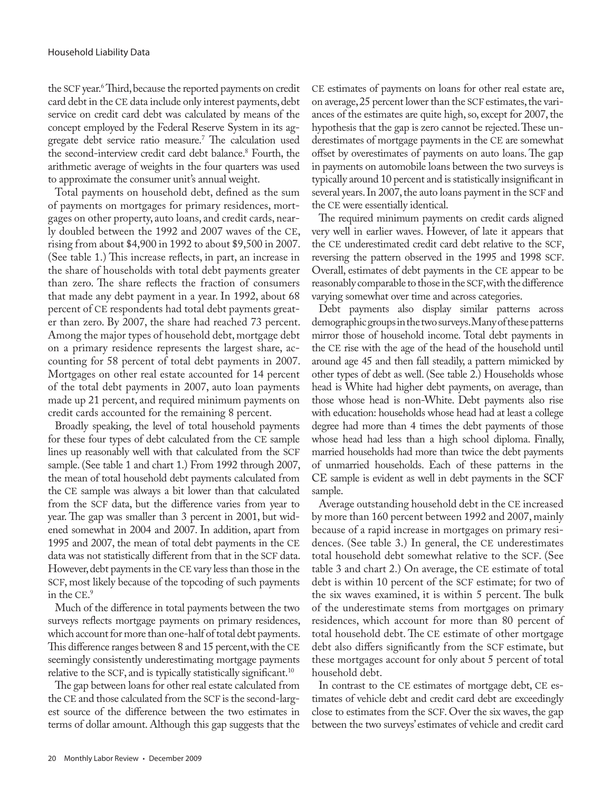the SCF year.6 Third, because the reported payments on credit card debt in the CE data include only interest payments, debt service on credit card debt was calculated by means of the concept employed by the Federal Reserve System in its aggregate debt service ratio measure.7 The calculation used the second-interview credit card debt balance.<sup>8</sup> Fourth, the arithmetic average of weights in the four quarters was used to approximate the consumer unit's annual weight.

Total payments on household debt, defined as the sum of payments on mortgages for primary residences, mortgages on other property, auto loans, and credit cards, nearly doubled between the 1992 and 2007 waves of the CE, rising from about \$4,900 in 1992 to about \$9,500 in 2007. (See table 1.) This increase reflects, in part, an increase in the share of households with total debt payments greater than zero. The share reflects the fraction of consumers that made any debt payment in a year. In 1992, about 68 percent of CE respondents had total debt payments greater than zero. By 2007, the share had reached 73 percent. Among the major types of household debt, mortgage debt on a primary residence represents the largest share, accounting for 58 percent of total debt payments in 2007. Mortgages on other real estate accounted for 14 percent of the total debt payments in 2007, auto loan payments made up 21 percent, and required minimum payments on credit cards accounted for the remaining 8 percent.

Broadly speaking, the level of total household payments for these four types of debt calculated from the CE sample lines up reasonably well with that calculated from the SCF sample. (See table 1 and chart 1.) From 1992 through 2007, the mean of total household debt payments calculated from the CE sample was always a bit lower than that calculated from the SCF data, but the difference varies from year to year. The gap was smaller than 3 percent in 2001, but widened somewhat in 2004 and 2007. In addition, apart from 1995 and 2007, the mean of total debt payments in the CE data was not statistically different from that in the SCF data. However, debt payments in the CE vary less than those in the SCF, most likely because of the topcoding of such payments in the CE. 9

Much of the difference in total payments between the two surveys reflects mortgage payments on primary residences, which account for more than one-half of total debt payments. This difference ranges between 8 and 15 percent, with the CE seemingly consistently underestimating mortgage payments relative to the SCF, and is typically statistically significant.<sup>10</sup>

The gap between loans for other real estate calculated from the CE and those calculated from the SCF is the second-largest source of the difference between the two estimates in terms of dollar amount. Although this gap suggests that the CE estimates of payments on loans for other real estate are, on average, 25 percent lower than the SCF estimates, the variances of the estimates are quite high, so, except for 2007, the hypothesis that the gap is zero cannot be rejected. These underestimates of mortgage payments in the CE are somewhat offset by overestimates of payments on auto loans. The gap in payments on automobile loans between the two surveys is typically around 10 percent and is statistically insignificant in several years. In 2007, the auto loans payment in the SCF and the CE were essentially identical.

The required minimum payments on credit cards aligned very well in earlier waves. However, of late it appears that the CE underestimated credit card debt relative to the SCF, reversing the pattern observed in the 1995 and 1998 SCF. Overall, estimates of debt payments in the CE appear to be reasonably comparable to those in the SCF, with the difference varying somewhat over time and across categories.

Debt payments also display similar patterns across demographic groups in the two surveys. Many of these patterns mirror those of household income. Total debt payments in the CE rise with the age of the head of the household until around age 45 and then fall steadily, a pattern mimicked by other types of debt as well. (See table 2.) Households whose head is White had higher debt payments, on average, than those whose head is non-White. Debt payments also rise with education: households whose head had at least a college degree had more than 4 times the debt payments of those whose head had less than a high school diploma. Finally, married households had more than twice the debt payments of unmarried households. Each of these patterns in the CE sample is evident as well in debt payments in the SCF sample.

Average outstanding household debt in the CE increased by more than 160 percent between 1992 and 2007, mainly because of a rapid increase in mortgages on primary residences. (See table 3.) In general, the CE underestimates total household debt somewhat relative to the SCF. (See table 3 and chart 2.) On average, the CE estimate of total debt is within 10 percent of the SCF estimate; for two of the six waves examined, it is within 5 percent. The bulk of the underestimate stems from mortgages on primary residences, which account for more than 80 percent of total household debt. The CE estimate of other mortgage debt also differs significantly from the SCF estimate, but these mortgages account for only about 5 percent of total household debt.

In contrast to the CE estimates of mortgage debt, CE estimates of vehicle debt and credit card debt are exceedingly close to estimates from the SCF. Over the six waves, the gap between the two surveys' estimates of vehicle and credit card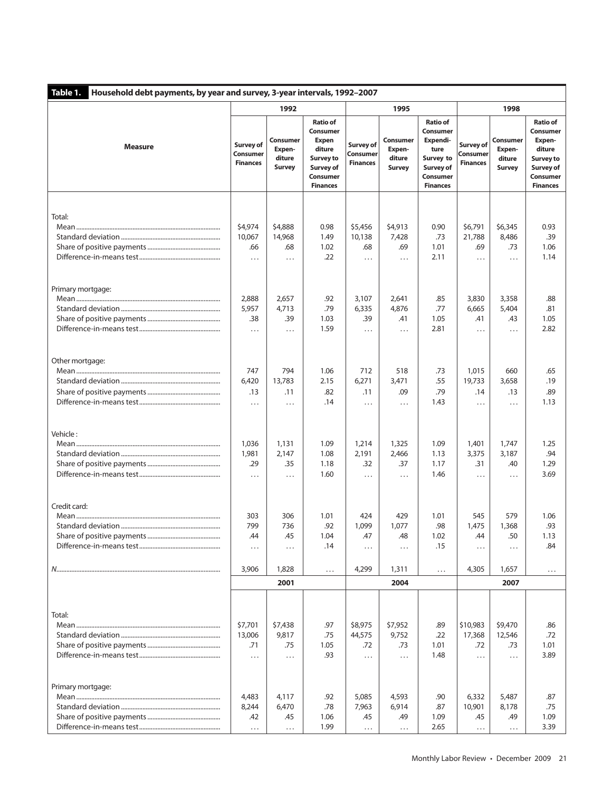| Table 1.<br>Household debt payments, by year and survey, 3-year intervals, 1992-2007 |                                                 |                                               |                                                                                                                       |                                          |                                               |                                                                                                                 |                                          |                                                      |                                                                                                          |
|--------------------------------------------------------------------------------------|-------------------------------------------------|-----------------------------------------------|-----------------------------------------------------------------------------------------------------------------------|------------------------------------------|-----------------------------------------------|-----------------------------------------------------------------------------------------------------------------|------------------------------------------|------------------------------------------------------|----------------------------------------------------------------------------------------------------------|
|                                                                                      |                                                 | 1992                                          |                                                                                                                       |                                          | 1995                                          |                                                                                                                 | 1998                                     |                                                      |                                                                                                          |
| <b>Measure</b>                                                                       | <b>Survey of</b><br>Consumer<br><b>Finances</b> | Consumer<br>Expen-<br>diture<br><b>Survey</b> | <b>Ratio of</b><br>Consumer<br><b>Expen</b><br>diture<br><b>Survey to</b><br>Survey of<br>Consumer<br><b>Finances</b> | Survey of<br>Consumer<br><b>Finances</b> | Consumer<br>Expen-<br>diture<br><b>Survey</b> | <b>Ratio of</b><br><b>Consumer</b><br>Expendi-<br>ture<br>Survey to<br>Survey of<br>Consumer<br><b>Finances</b> | Survey of<br>Consumer<br><b>Finances</b> | <b>Consumer</b><br>Expen-<br>diture<br><b>Survey</b> | <b>Ratio of</b><br>Consumer<br>Expen-<br>diture<br>Survey to<br>Survey of<br>Consumer<br><b>Finances</b> |
| Total:                                                                               | \$4,974<br>10,067<br>.66<br>.                   | \$4,888<br>14,968<br>.68<br>$\cdots$          | 0.98<br>1.49<br>1.02<br>.22                                                                                           | \$5,456<br>10,138<br>.68<br>$\cdots$     | \$4,913<br>7,428<br>.69<br>$\cdots$           | 0.90<br>.73<br>1.01<br>2.11                                                                                     | \$6,791<br>21,788<br>.69<br>$\cdots$     | \$6,345<br>8,486<br>.73<br>.                         | 0.93<br>.39<br>1.06<br>1.14                                                                              |
| Primary mortgage:                                                                    | 2,888<br>5,957<br>.38<br>.                      | 2,657<br>4,713<br>.39<br>$\cdots$             | .92<br>.79<br>1.03<br>1.59                                                                                            | 3,107<br>6,335<br>.39<br>$\cdots$        | 2,641<br>4,876<br>.41<br>$\cdots$             | .85<br>.77<br>1.05<br>2.81                                                                                      | 3,830<br>6,665<br>.41<br>$\cdots$        | 3,358<br>5,404<br>.43<br>.                           | .88<br>.81<br>1.05<br>2.82                                                                               |
| Other mortgage:                                                                      | 747<br>6,420<br>.13<br>.                        | 794<br>13,783<br>.11<br>$\cdots$              | 1.06<br>2.15<br>.82<br>.14                                                                                            | 712<br>6,271<br>.11<br>$\cdots$          | 518<br>3,471<br>.09<br>.                      | .73<br>.55<br>.79<br>1.43                                                                                       | 1,015<br>19,733<br>.14<br>$\cdots$       | 660<br>3,658<br>.13<br>.                             | .65<br>.19<br>.89<br>1.13                                                                                |
| Vehicle:                                                                             | 1,036<br>1,981<br>.29<br>.                      | 1,131<br>2,147<br>.35<br>$\cdots$             | 1.09<br>1.08<br>1.18<br>1.60                                                                                          | 1,214<br>2,191<br>.32<br>$\cdots$        | 1,325<br>2,466<br>.37<br>$\cdots$             | 1.09<br>1.13<br>1.17<br>1.46                                                                                    | 1,401<br>3,375<br>.31<br>$\cdots$        | 1,747<br>3,187<br>.40<br>.                           | 1.25<br>.94<br>1.29<br>3.69                                                                              |
| Credit card:                                                                         | 303<br>799<br>.44<br>.                          | 306<br>736<br>.45<br>$\cdots$                 | 1.01<br>.92<br>1.04<br>.14                                                                                            | 424<br>1,099<br>.47<br>$\cdots$          | 429<br>1,077<br>.48<br>.                      | 1.01<br>.98<br>1.02<br>.15                                                                                      | 545<br>1,475<br>.44<br>.                 | 579<br>1,368<br>.50<br>.                             | 1.06<br>.93<br>1.13<br>.84                                                                               |
|                                                                                      | 3,906                                           | 1,828                                         | $\cdots$                                                                                                              | 4,299                                    | 1,311                                         | $\ldots$                                                                                                        | 4,305                                    | 1,657                                                | $\cdots$                                                                                                 |
|                                                                                      |                                                 | 2001                                          |                                                                                                                       |                                          | 2004                                          |                                                                                                                 |                                          | 2007                                                 |                                                                                                          |
| Total:                                                                               | \$7,701<br>13,006<br>.71<br>$\cdots$            | \$7,438<br>9,817<br>.75<br>$\cdots$           | .97<br>.75<br>1.05<br>.93                                                                                             | \$8,975<br>44,575<br>.72<br>$\cdots$     | \$7,952<br>9,752<br>.73<br>.                  | .89<br>.22<br>1.01<br>1.48                                                                                      | \$10,983<br>17,368<br>.72<br>$\cdots$    | \$9,470<br>12,546<br>.73<br>.                        | .86<br>.72<br>1.01<br>3.89                                                                               |
| Primary mortgage:                                                                    | 4,483<br>8,244<br>.42<br>.                      | 4,117<br>6,470<br>.45<br>$\ldots$             | .92<br>.78<br>1.06<br>1.99                                                                                            | 5,085<br>7,963<br>.45<br>.               | 4,593<br>6,914<br>.49<br>$\cdots$             | .90<br>.87<br>1.09<br>2.65                                                                                      | 6,332<br>10,901<br>.45<br>.              | 5,487<br>8,178<br>.49<br>$\cdots$                    | .87<br>.75<br>1.09<br>3.39                                                                               |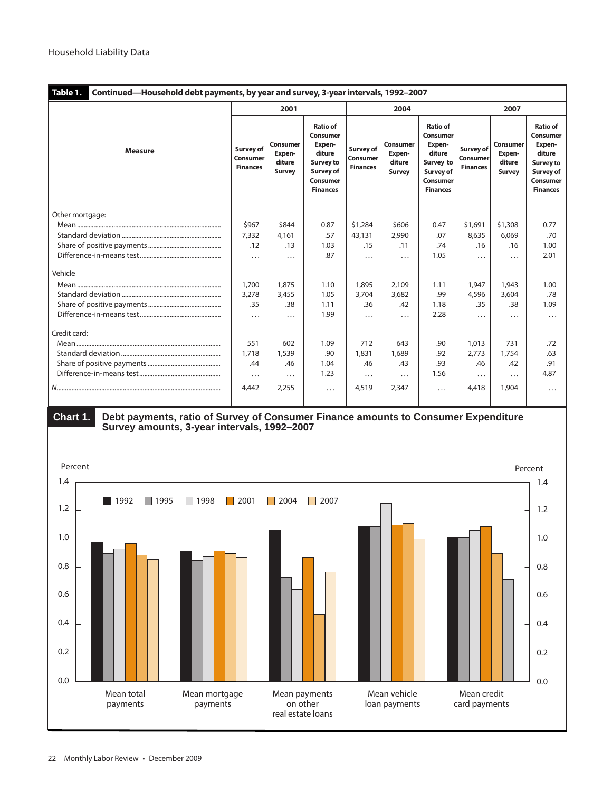| Table 1.<br>Continued—Household debt payments, by year and survey, 3-year intervals, 1992-2007 |                                          |                                        |                                                                                                                        |                                          |                                        |                                                                                                          |                                                 |                                               |                                                                                                                 |
|------------------------------------------------------------------------------------------------|------------------------------------------|----------------------------------------|------------------------------------------------------------------------------------------------------------------------|------------------------------------------|----------------------------------------|----------------------------------------------------------------------------------------------------------|-------------------------------------------------|-----------------------------------------------|-----------------------------------------------------------------------------------------------------------------|
|                                                                                                | 2001                                     |                                        |                                                                                                                        |                                          | 2004                                   |                                                                                                          | 2007                                            |                                               |                                                                                                                 |
| <b>Measure</b>                                                                                 | Survey of<br>Consumer<br><b>Finances</b> | Consumer<br>Expen-<br>diture<br>Survey | <b>Ratio of</b><br>Consumer<br>Expen-<br>diture<br><b>Survey to</b><br>Survey of<br><b>Consumer</b><br><b>Finances</b> | Survey of<br>Consumer<br><b>Finances</b> | Consumer<br>Expen-<br>diture<br>Survey | <b>Ratio of</b><br>Consumer<br>Expen-<br>diture<br>Survey to<br>Survey of<br>Consumer<br><b>Finances</b> | Survey of<br><b>Consumer</b><br><b>Finances</b> | Consumer<br>Expen-<br>diture<br><b>Survey</b> | <b>Ratio of</b><br>Consumer<br>Expen-<br>diture<br><b>Survey to</b><br>Survey of<br>Consumer<br><b>Finances</b> |
| Other mortgage:                                                                                |                                          |                                        |                                                                                                                        |                                          |                                        |                                                                                                          |                                                 |                                               |                                                                                                                 |
|                                                                                                | \$967                                    | \$844                                  | 0.87                                                                                                                   | \$1,284                                  | \$606                                  | 0.47                                                                                                     | \$1,691                                         | \$1,308                                       | 0.77                                                                                                            |
|                                                                                                | 7,332                                    | 4,161                                  | .57                                                                                                                    | 43,131                                   | 2,990                                  | .07                                                                                                      | 8,635                                           | 6,069                                         | .70                                                                                                             |
|                                                                                                | .12                                      | .13                                    | 1.03                                                                                                                   | .15                                      | .11                                    | .74                                                                                                      | .16                                             | .16                                           | 1.00                                                                                                            |
|                                                                                                | .                                        | .                                      | .87                                                                                                                    | $\cdots$                                 | .                                      | 1.05                                                                                                     | .                                               | .                                             | 2.01                                                                                                            |
| Vehicle                                                                                        |                                          |                                        |                                                                                                                        |                                          |                                        |                                                                                                          |                                                 |                                               |                                                                                                                 |
|                                                                                                | 1,700                                    | 1,875                                  | 1.10                                                                                                                   | 1,895                                    | 2,109                                  | 1.11                                                                                                     | 1,947                                           | 1,943                                         | 1.00                                                                                                            |
|                                                                                                | 3,278                                    | 3,455                                  | 1.05                                                                                                                   | 3,704                                    | 3,682                                  | .99                                                                                                      | 4,596                                           | 3,604                                         | .78                                                                                                             |
|                                                                                                | .35                                      | .38                                    | 1.11                                                                                                                   | .36                                      | .42                                    | 1.18                                                                                                     | .35                                             | .38                                           | 1.09                                                                                                            |
|                                                                                                | $\cdots$                                 | $\cdots$                               | 1.99                                                                                                                   | .                                        | .                                      | 2.28                                                                                                     | .                                               | .                                             | .                                                                                                               |
| Credit card:                                                                                   |                                          |                                        |                                                                                                                        |                                          |                                        |                                                                                                          |                                                 |                                               |                                                                                                                 |
|                                                                                                | 551                                      | 602                                    | 1.09                                                                                                                   | 712                                      | 643                                    | .90                                                                                                      | 1,013                                           | 731                                           | .72                                                                                                             |
|                                                                                                | 1,718                                    | 1,539                                  | .90                                                                                                                    | 1,831                                    | 1,689                                  | .92                                                                                                      | 2,773                                           | 1,754                                         | .63                                                                                                             |
|                                                                                                | .44                                      | .46                                    | 1.04                                                                                                                   | .46                                      | .43                                    | .93                                                                                                      | .46                                             | .42                                           | .91                                                                                                             |
|                                                                                                | .                                        | .                                      | 1.23                                                                                                                   | .                                        | .                                      | 1.56                                                                                                     | .                                               | .                                             | 4.87                                                                                                            |
|                                                                                                | 4.442                                    | 2,255                                  | .                                                                                                                      | 4,519                                    | 2,347                                  | $\cdots$                                                                                                 | 4,418                                           | 1,904                                         | $\cdots$                                                                                                        |



 **Chart 1. Debt payments, ratio of Survey of Consumer Finance amounts to Consumer Expenditure Survey amounts, 3-year intervals, 1992–2007**

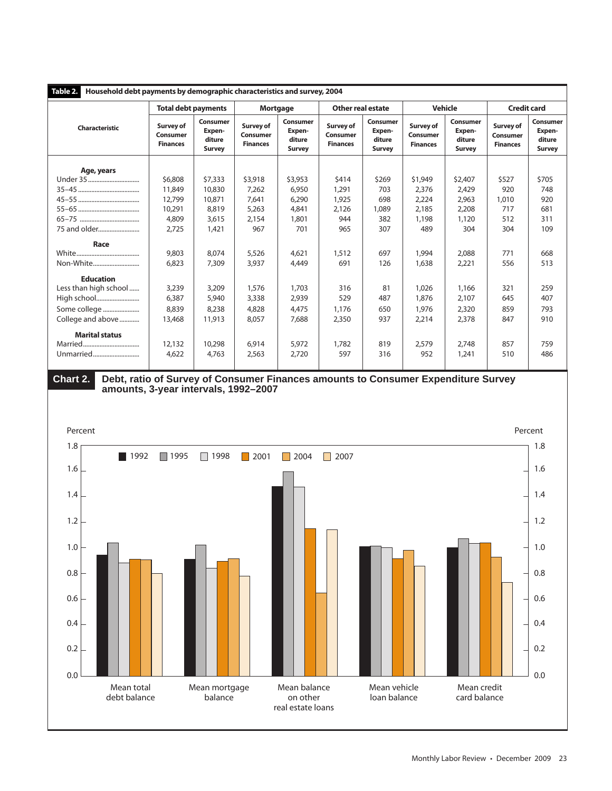| Household debt payments by demographic characteristics and survey, 2004<br>Table 2. |                                                 |                                               |                                          |                                        |                                          |                                               |                                          |                                        |                                          |                                               |
|-------------------------------------------------------------------------------------|-------------------------------------------------|-----------------------------------------------|------------------------------------------|----------------------------------------|------------------------------------------|-----------------------------------------------|------------------------------------------|----------------------------------------|------------------------------------------|-----------------------------------------------|
|                                                                                     | <b>Total debt payments</b><br><b>Mortgage</b>   |                                               | <b>Other real estate</b>                 |                                        | <b>Vehicle</b>                           |                                               | <b>Credit card</b>                       |                                        |                                          |                                               |
| <b>Characteristic</b>                                                               | <b>Survey of</b><br>Consumer<br><b>Finances</b> | Consumer<br>Expen-<br>diture<br><b>Survey</b> | Survey of<br>Consumer<br><b>Finances</b> | Consumer<br>Expen-<br>diture<br>Survey | Survey of<br>Consumer<br><b>Finances</b> | Consumer<br>Expen-<br>diture<br><b>Survey</b> | Survey of<br>Consumer<br><b>Finances</b> | Consumer<br>Expen-<br>diture<br>Survey | Survey of<br>Consumer<br><b>Finances</b> | Consumer<br>Expen-<br>diture<br><b>Survey</b> |
|                                                                                     |                                                 |                                               |                                          |                                        |                                          |                                               |                                          |                                        |                                          |                                               |
| Age, years                                                                          |                                                 |                                               |                                          |                                        |                                          |                                               |                                          |                                        |                                          |                                               |
| Under 35                                                                            | \$6,808                                         | \$7,333                                       | \$3,918                                  | \$3,953                                | \$414                                    | \$269                                         | \$1,949                                  | \$2,407                                | \$527                                    | \$705                                         |
|                                                                                     | 11,849                                          | 10,830                                        | 7,262                                    | 6,950                                  | 1,291                                    | 703                                           | 2,376                                    | 2,429                                  | 920                                      | 748                                           |
|                                                                                     | 12.799                                          | 10,871                                        | 7.641                                    | 6.290                                  | 1,925                                    | 698                                           | 2,224                                    | 2,963                                  | 1,010                                    | 920                                           |
|                                                                                     | 10,291                                          | 8,819                                         | 5,263                                    | 4,841                                  | 2,126                                    | 1,089                                         | 2,185                                    | 2,208                                  | 717                                      | 681                                           |
|                                                                                     | 4,809                                           | 3,615                                         | 2,154                                    | 1,801                                  | 944                                      | 382                                           | 1,198                                    | 1,120                                  | 512                                      | 311                                           |
| 75 and older                                                                        | 2.725                                           | 1,421                                         | 967                                      | 701                                    | 965                                      | 307                                           | 489                                      | 304                                    | 304                                      | 109                                           |
| Race                                                                                |                                                 |                                               |                                          |                                        |                                          |                                               |                                          |                                        |                                          |                                               |
|                                                                                     | 9,803                                           | 8,074                                         | 5,526                                    | 4,621                                  | 1,512                                    | 697                                           | 1,994                                    | 2,088                                  | 771                                      | 668                                           |
| Non-White                                                                           | 6,823                                           | 7,309                                         | 3,937                                    | 4,449                                  | 691                                      | 126                                           | 1,638                                    | 2,221                                  | 556                                      | 513                                           |
| <b>Education</b>                                                                    |                                                 |                                               |                                          |                                        |                                          |                                               |                                          |                                        |                                          |                                               |
| Less than high school                                                               | 3,239                                           | 3,209                                         | 1,576                                    | 1,703                                  | 316                                      | 81                                            | 1,026                                    | 1,166                                  | 321                                      | 259                                           |
| High school                                                                         | 6,387                                           | 5,940                                         | 3,338                                    | 2,939                                  | 529                                      | 487                                           | 1,876                                    | 2,107                                  | 645                                      | 407                                           |
| Some college                                                                        | 8,839                                           | 8,238                                         | 4,828                                    | 4,475                                  | 1,176                                    | 650                                           | 1,976                                    | 2,320                                  | 859                                      | 793                                           |
| College and above                                                                   | 13,468                                          | 11,913                                        | 8,057                                    | 7,688                                  | 2,350                                    | 937                                           | 2,214                                    | 2,378                                  | 847                                      | 910                                           |
|                                                                                     |                                                 |                                               |                                          |                                        |                                          |                                               |                                          |                                        |                                          |                                               |
| <b>Marital status</b>                                                               |                                                 |                                               |                                          |                                        |                                          |                                               |                                          |                                        |                                          |                                               |
|                                                                                     | 12,132                                          | 10,298                                        | 6,914                                    | 5,972                                  | 1,782                                    | 819                                           | 2,579                                    | 2,748                                  | 857                                      | 759                                           |
| Unmarried                                                                           | 4,622                                           | 4,763                                         | 2,563                                    | 2,720                                  | 597                                      | 316                                           | 952                                      | 1,241                                  | 510                                      | 486                                           |
|                                                                                     |                                                 |                                               |                                          |                                        |                                          |                                               |                                          |                                        |                                          |                                               |



 **Chart 2. Debt, ratio of Survey of Consumer Finances amounts to Consumer Expenditure Survey amounts, 3-year intervals, 1992–2007**

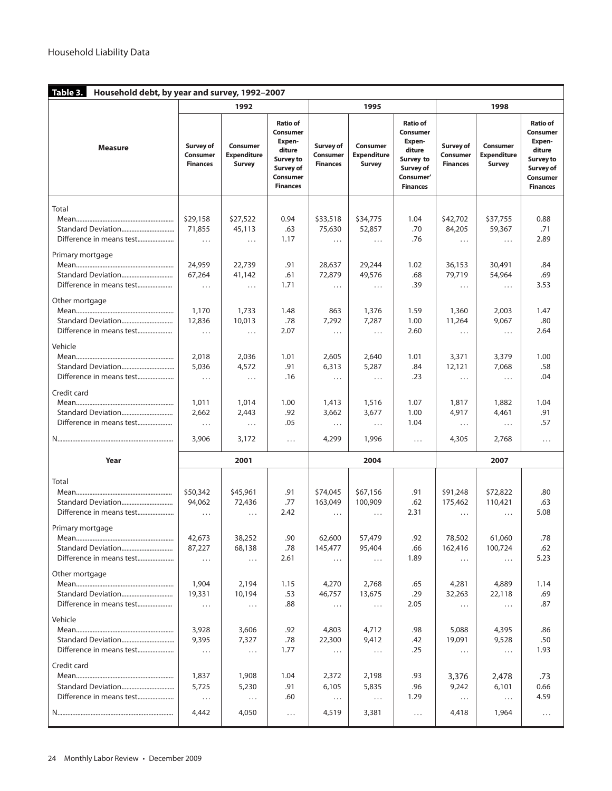| Table 3.<br>Household debt, by year and survey, 1992-2007              |                                                    |                                                    |                                                                                                                               |                                                      |                                                     |                                                                                                           |                                                        |                                                      |                                                                                                                               |  |
|------------------------------------------------------------------------|----------------------------------------------------|----------------------------------------------------|-------------------------------------------------------------------------------------------------------------------------------|------------------------------------------------------|-----------------------------------------------------|-----------------------------------------------------------------------------------------------------------|--------------------------------------------------------|------------------------------------------------------|-------------------------------------------------------------------------------------------------------------------------------|--|
|                                                                        |                                                    | 1992                                               |                                                                                                                               |                                                      | 1995                                                |                                                                                                           | 1998                                                   |                                                      |                                                                                                                               |  |
| <b>Measure</b>                                                         | <b>Survey of</b><br>Consumer<br><b>Finances</b>    | Consumer<br><b>Expenditure</b><br><b>Survey</b>    | <b>Ratio of</b><br><b>Consumer</b><br>Expen-<br>diture<br><b>Survey to</b><br>Survey of<br><b>Consumer</b><br><b>Finances</b> | Survey of<br><b>Consumer</b><br><b>Finances</b>      | Consumer<br><b>Expenditure</b><br>Survey            | <b>Ratio of</b><br>Consumer<br>Expen-<br>diture<br>Survey to<br>Survey of<br>Consumer'<br><b>Finances</b> | <b>Survey of</b><br><b>Consumer</b><br><b>Finances</b> | Consumer<br><b>Expenditure</b><br>Survey             | <b>Ratio of</b><br><b>Consumer</b><br>Expen-<br>diture<br><b>Survey to</b><br>Survey of<br><b>Consumer</b><br><b>Finances</b> |  |
| Total<br>Standard Deviation                                            | \$29,158<br>71,855<br>$\cdots$                     | \$27,522<br>45,113<br>$\cdots$                     | 0.94<br>.63<br>1.17                                                                                                           | \$33,518<br>75,630<br>$\cdots$                       | \$34,775<br>52,857<br>$\cdots$                      | 1.04<br>.70<br>.76                                                                                        | \$42,702<br>84,205<br>$\cdots$                         | \$37,755<br>59,367<br>$\cdots$                       | 0.88<br>.71<br>2.89                                                                                                           |  |
| Primary mortgage<br>Standard Deviation<br>Difference in means test     | 24,959<br>67,264<br>$\cdots$                       | 22,739<br>41,142<br>.                              | .91<br>.61<br>1.71                                                                                                            | 28,637<br>72,879<br>$\cdots$                         | 29,244<br>49,576<br>$\cdots$                        | 1.02<br>.68<br>.39                                                                                        | 36,153<br>79,719<br>$\cdots$                           | 30,491<br>54,964<br>$\cdots$                         | .84<br>.69<br>3.53                                                                                                            |  |
| Other mortgage<br>Vehicle                                              | 1,170<br>12,836<br>$\ldots$                        | 1,733<br>10,013<br>$\cdots$                        | 1.48<br>.78<br>2.07                                                                                                           | 863<br>7,292<br>$\cdots$                             | 1,376<br>7,287<br>$\cdots$                          | 1.59<br>1.00<br>2.60                                                                                      | 1,360<br>11,264<br>$\cdots$                            | 2,003<br>9,067<br>$\ldots$                           | 1.47<br>.80<br>2.64                                                                                                           |  |
| Credit card                                                            | 2,018<br>5,036<br>$\cdots$                         | 2,036<br>4,572<br>$\cdots$                         | 1.01<br>.91<br>.16                                                                                                            | 2,605<br>6,313<br>$\cdots$                           | 2,640<br>5,287<br>$\cdots$                          | 1.01<br>.84<br>.23                                                                                        | 3,371<br>12,121<br>$\cdots$                            | 3,379<br>7,068<br>$\cdots$                           | 1.00<br>.58<br>.04                                                                                                            |  |
| Standard Deviation<br>Difference in means test                         | 1,011<br>2,662<br>$\ldots$                         | 1,014<br>2,443<br>$\cdots$                         | 1.00<br>.92<br>.05                                                                                                            | 1,413<br>3,662<br>$\cdots$                           | 1,516<br>3,677<br>$\cdots$                          | 1.07<br>1.00<br>1.04                                                                                      | 1,817<br>4,917<br>$\cdots$                             | 1,882<br>4,461<br>$\cdots$                           | 1.04<br>.91<br>.57                                                                                                            |  |
|                                                                        | 3,906                                              | 3,172                                              | $\cdots$                                                                                                                      | 4,299                                                | 1,996                                               | $\cdots$                                                                                                  | 4,305                                                  | 2,768                                                | $\cdots$                                                                                                                      |  |
| Year                                                                   |                                                    | 2001                                               |                                                                                                                               |                                                      | 2004                                                |                                                                                                           |                                                        | 2007                                                 |                                                                                                                               |  |
| Total<br>Primary mortgage<br>Standard Deviation                        | \$50,342<br>94,062<br>$\cdots$<br>42,673<br>87,227 | \$45,961<br>72,436<br>$\cdots$<br>38,252<br>68,138 | .91<br>.77<br>2.42<br>.90<br>.78                                                                                              | \$74,045<br>163,049<br>$\cdots$<br>62,600<br>145,477 | \$67,156<br>100,909<br>$\cdots$<br>57,479<br>95,404 | .91<br>.62<br>2.31<br>.92<br>.66                                                                          | \$91,248<br>175,462<br>$\cdots$<br>78,502<br>162,416   | \$72,822<br>110,421<br>$\cdots$<br>61,060<br>100,724 | .80<br>.63<br>5.08<br>.78<br>.62                                                                                              |  |
| Difference in means test<br>Other mortgage<br>Difference in means test | $\ldots$<br>1,904<br>19,331<br>$\cdots$            | $\ldots$<br>2,194<br>10,194<br>$\cdots$            | 2.61<br>1.15<br>.53<br>.88                                                                                                    | $\ldots$<br>4,270<br>46,757<br>$\ldots$              | $\ldots$<br>2,768<br>13,675<br>$\cdots$             | 1.89<br>.65<br>.29<br>2.05                                                                                | $\ldots$<br>4,281<br>32,263<br>$\cdots$                | $\cdots$<br>4,889<br>22,118<br>$\cdots$              | 5.23<br>1.14<br>.69<br>.87                                                                                                    |  |
| Vehicle                                                                | 3,928<br>9,395<br>$\ldots$                         | 3,606<br>7,327<br>$\ldots$                         | .92<br>.78<br>1.77                                                                                                            | 4,803<br>22,300<br>$\ldots$                          | 4,712<br>9,412<br>$\ldots$                          | .98<br>.42<br>.25                                                                                         | 5,088<br>19,091<br>$\cdots$                            | 4,395<br>9,528<br>$\cdots$                           | .86<br>.50<br>1.93                                                                                                            |  |
| Credit card                                                            | 1,837<br>5,725<br>$\ldots$                         | 1,908<br>5,230<br>$\ldots$                         | 1.04<br>.91<br>.60                                                                                                            | 2,372<br>6,105<br>$\ldots$                           | 2,198<br>5,835<br>$\ldots$                          | .93<br>.96<br>1.29                                                                                        | 3,376<br>9,242<br>$\cdots$                             | 2,478<br>6,101<br>$\ldots$                           | .73<br>0.66<br>4.59                                                                                                           |  |
|                                                                        | 4,442                                              | 4,050                                              | $\cdots$                                                                                                                      | 4,519                                                | 3,381                                               | $\cdots$                                                                                                  | 4,418                                                  | 1,964                                                | $\cdots$                                                                                                                      |  |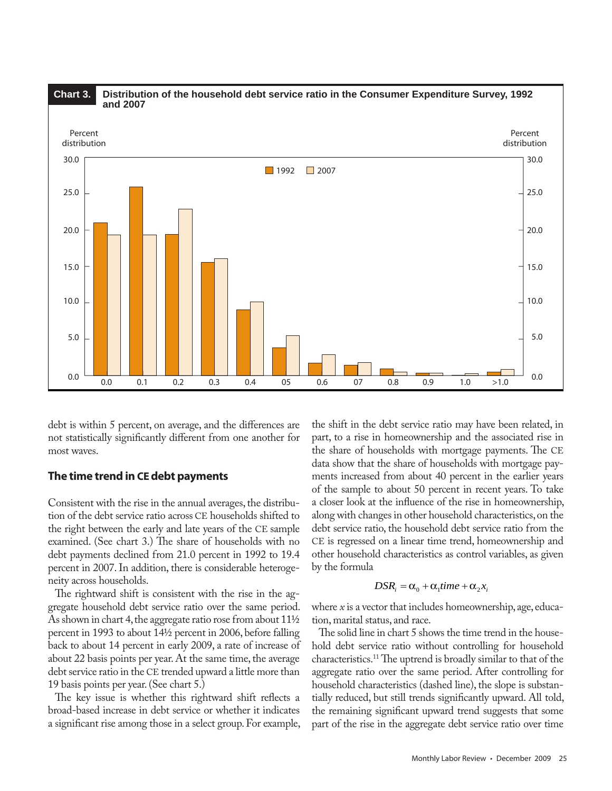

debt is within 5 percent, on average, and the differences are not statistically significantly different from one another for most waves.

## **The time trend in CEdebt payments**

Consistent with the rise in the annual averages, the distribution of the debt service ratio across CE households shifted to the right between the early and late years of the CE sample examined. (See chart 3.) The share of households with no debt payments declined from 21.0 percent in 1992 to 19.4 percent in 2007. In addition, there is considerable heterogeneity across households.

The rightward shift is consistent with the rise in the aggregate household debt service ratio over the same period. As shown in chart 4, the aggregate ratio rose from about 11½ percent in 1993 to about 14½ percent in 2006, before falling back to about 14 percent in early 2009, a rate of increase of about 22 basis points per year. At the same time, the average debt service ratio in the CE trended upward a little more than 19 basis points per year. (See chart 5.)

The key issue is whether this rightward shift reflects a broad-based increase in debt service or whether it indicates a significant rise among those in a select group. For example, the shift in the debt service ratio may have been related, in part, to a rise in homeownership and the associated rise in the share of households with mortgage payments. The CE data show that the share of households with mortgage payments increased from about 40 percent in the earlier years of the sample to about 50 percent in recent years. To take a closer look at the influence of the rise in homeownership, along with changes in other household characteristics, on the debt service ratio, the household debt service ratio from the CE is regressed on a linear time trend, homeownership and other household characteristics as control variables, as given by the formula

#### $DSR_i = \alpha_0 + \alpha_1 time + \alpha_2 x_i$

where *x* is a vector that includes homeownership, age, education, marital status, and race.

The solid line in chart 5 shows the time trend in the household debt service ratio without controlling for household characteristics.11 The uptrend is broadly similar to that of the aggregate ratio over the same period. After controlling for household characteristics (dashed line), the slope is substantially reduced, but still trends significantly upward. All told, the remaining significant upward trend suggests that some part of the rise in the aggregate debt service ratio over time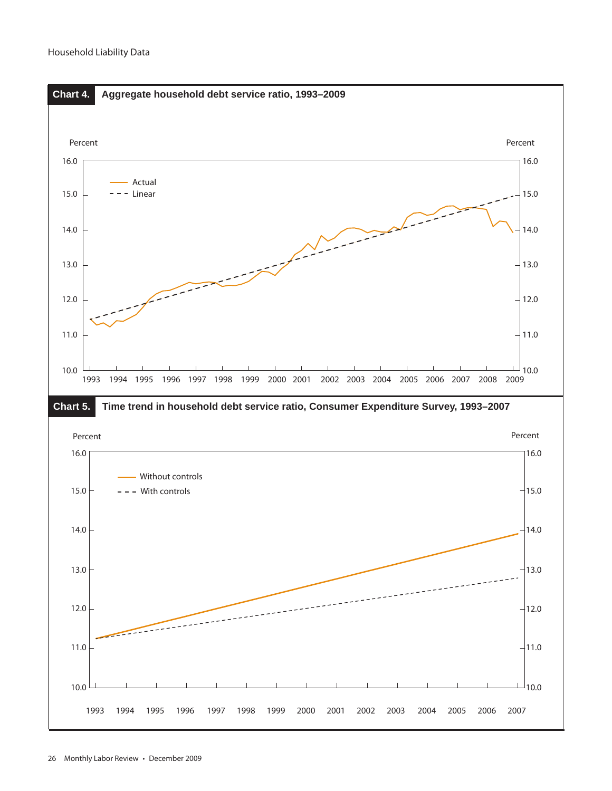